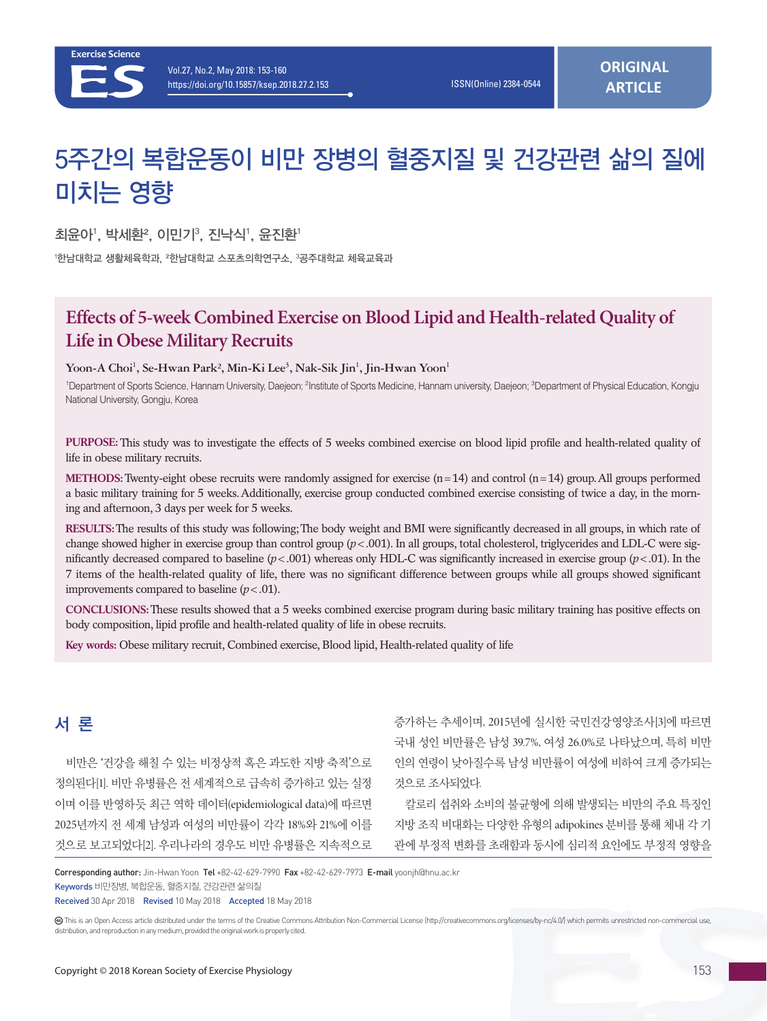

# 5주간의 복합운동이 비만 장병의 혈중지질 및 건강관련 삶의 질에 미치는 영향

최윤아', 박세환², 이민기<sup>3</sup>, 진낙식', 윤진환'

<sup>1</sup>한남대학교 생활체육학과, <sup>2</sup>한남대학교 스포츠의학연구소, <sup>3</sup>공주대학교 체육교육과

# **Effects of 5-week Combined Exercise on Blood Lipid and Health-related Quality of Life in Obese Military Recruits**

#### Yoon-A Choi<sup>1</sup>, Se-Hwan Park<sup>2</sup>, Min-Ki Lee<sup>3</sup>, Nak-Sik Jin<sup>1</sup>, Jin-Hwan Yoon<sup>1</sup>

<sup>1</sup>Department of Sports Science, Hannam University, Daejeon; <sup>2</sup>Institute of Sports Medicine, Hannam university, Daejeon; <sup>3</sup>Department of Physical Education, Kongju National University, Gongju, Korea

**PURPOSE:** This study was to investigate the effects of 5 weeks combined exercise on blood lipid profile and health-related quality of life in obese military recruits.

**METHODS:** Twenty-eight obese recruits were randomly assigned for exercise  $(n=14)$  and control  $(n=14)$  group. All groups performed a basic military training for 5 weeks. Additionally, exercise group conducted combined exercise consisting of twice a day, in the morning and afternoon, 3 days per week for 5 weeks.

**RESULTS:** The results of this study was following; The body weight and BMI were significantly decreased in all groups, in which rate of change showed higher in exercise group than control group (*p*<.001). In all groups, total cholesterol, triglycerides and LDL-C were significantly decreased compared to baseline (*p*<.001) whereas only HDL-C was significantly increased in exercise group (*p*<.01). In the 7 items of the health-related quality of life, there was no significant difference between groups while all groups showed significant improvements compared to baseline  $(p < .01)$ .

**CONCLUSIONS:** These results showed that a 5 weeks combined exercise program during basic military training has positive effects on body composition, lipid profile and health-related quality of life in obese recruits.

**Key words:** Obese military recruit, Combined exercise, Blood lipid, Health-related quality of life

# 서 론

비만은 '건강을 해칠 수 있는 비정상적 혹은 과도한 지방 축적'으로 정의된다[1]. 비만 유병률은 전 세계적으로 급속히 증가하고 있는 실정 이며 이를 반영하듯 최근 역학 데이터(epidemiological data)에 따르면 2025년까지 전 세계 남성과 여성의 비만률이 각각 18%와 21%에 이를 것으로 보고되었다[2]. 우리나라의 경우도 비만 유병률은 지속적으로

증가하는 추세이며, 2015년에 실시한 국민건강영양조사[3]에 따르면 국내 성인 비만률은 남성 39.7%, 여성 26.0%로 나타났으며, 특히 비만 인의 연령이 낮아질수록 남성 비만률이 여성에 비하여 크게 증가되는 것으로 조사되었다.

칼로리 섭취와 소비의 불균형에 의해 발생되는 비만의 주요 특징인 지방 조직 비대화는 다양한 유형의 adipokines 분비를 통해 체내 각 기 관에 부정적 변화를 초래함과 동시에 심리적 요인에도 부정적 영향을

Corresponding author: Jin-Hwan Yoon Tel +82-42-629-7990 Fax +82-42-629-7973 E-mail yoonjh@hnu.ac.kr

Keywords 비만장병, 복합운동, 혈중지질, 건강관련 삶의질

Received 30 Apr 2018 Revised 10 May 2018 Accepted 18 May 2018

This is an Open Access article distributed under the terms of the Creative Commons Attribution Non-Commercial License (http://creativecommons.org/licenses/by-nc/4.0/) which permits unrestricted non-commercial use, distribution, and reproduction in any medium, provided the original work is properly cited.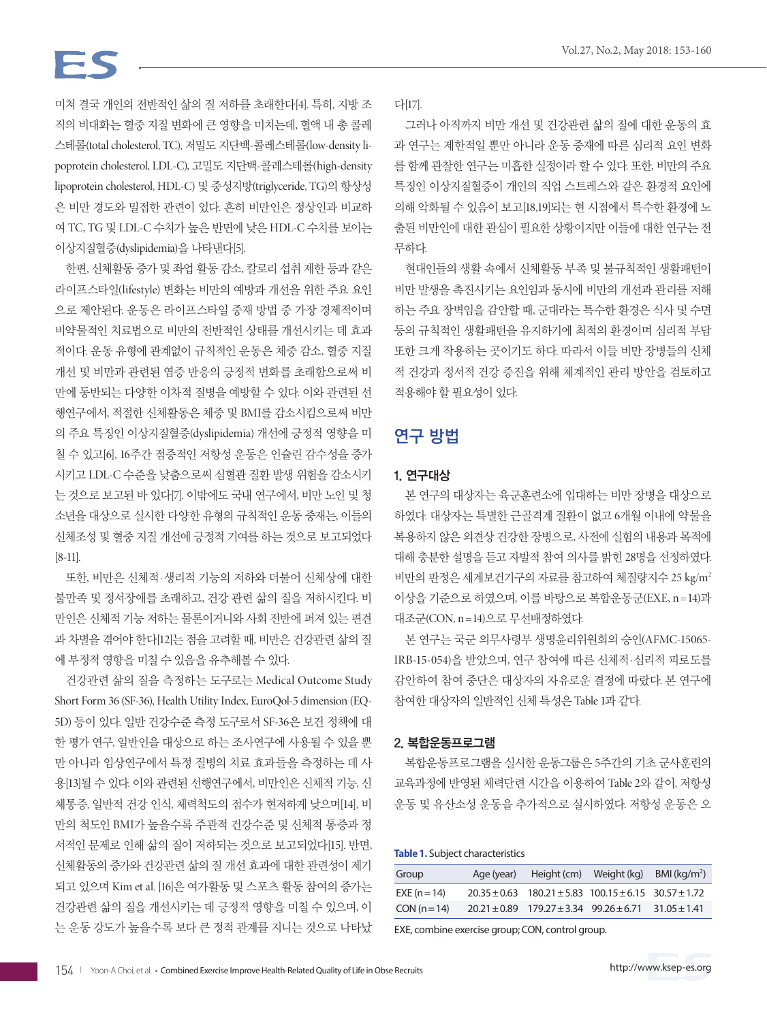# FS

미쳐 결국 개인의 전반적인 삶의 질 저하를 초래한다[4]. 특히, 지방 조 직의 비대화는 혈중 지질 변화에 큰 영향을 미치는데, 혈액 내 총 콜레 스테롤(total cholesterol, TC), 저밀도 지단백-콜레스테롤(low-density lipoprotein cholesterol, LDL-C), 고밀도 지단백-콜레스테롤(high-density lipoprotein cholesterol, HDL-C) 및 중성지방(triglyceride, TG)의 항상성 은 비만 경도와 밀접한 관련이 있다. 흔히 비만인은 정상인과 비교하 여 TC, TG 및 LDL-C 수치가 높은 반면에 낮은 HDL-C 수치를 보이는 이상지질혈증(dyslipidemia)을 나타낸다[5].

한편, 신체활동 증가 및 좌업 활동 감소, 칼로리 섭취 제한 등과 같은 라이프스타일(lifestyle) 변화는 비만의 예방과 개선을 위한 주요 요인 으로 제안된다. 운동은 라이프스타일 중재 방법 중 가장 경제적이며 비약물적인 치료법으로 비만의 전반적인 상태를 개선시키는 데 효과 적이다. 운동 유형에 관계없이 규칙적인 운동은 체중 감소, 혈중 지질 개선 및 비만과 관련된 염증 반응의 긍정적 변화를 초래함으로써 비 만에 동반되는 다양한 이차적 질병을 예방할 수 있다. 이와 관련된 선 행연구에서, 적절한 신체활동은 체중 및 BMI를 감소시킴으로써 비만 의 주요 특징인 이상지질혈증(dyslipidemia) 개선에 긍정적 영향을 미 칠 수 있고[6], 16주간 점증적인 저항성 운동은 인슐린 감수성을 증가 시키고 LDL-C 수준을 낮춤으로써 심혈관 질환 발생 위험을 감소시키 는 것으로 보고된 바 있다[7]. 이밖에도 국내 연구에서, 비만 노인 및 청 소년을 대상으로 실시한 다양한 유형의 규칙적인 운동 중재는, 이들의 신체조성 및 혈중 지질 개선에 긍정적 기여를 하는 것으로 보고되었다 [8-11].

또한, 비만은 신체적·생리적 기능의 저하와 더불어 신체상에 대한 불만족 및 정서장애를 초래하고, 건강 관련 삶의 질을 저하시킨다. 비 만인은 신체적 기능 저하는 물론이거니와 사회 전반에 퍼져 있는 편견 과 차별을 겪어야 한다[12]는 점을 고려할 때, 비만은 건강관련 삶의 질 에 부정적 영향을 미칠 수 있음을 유추해볼 수 있다.

건강관련 삶의 질을 측정하는 도구로는 Medical Outcome Study Short Form 36 (SF-36), Health Utility Index, EuroQol-5 dimension (EQ-5D) 등이 있다. 일반 건강수준 측정 도구로서 SF-36은 보건 정책에 대 한 평가 연구, 일반인을 대상으로 하는 조사연구에 사용될 수 있을 뿐 만 아니라 임상연구에서 특정 질병의 치료 효과들을 측정하는 데 사 용[13]될 수 있다. 이와 관련된 선행연구에서, 비만인은 신체적 기능, 신 체통증, 일반적 건강 인식, 체력척도의 점수가 현저하게 낮으며[14], 비 만의 척도인 BMI가 높을수록 주관적 건강수준 및 신체적 통증과 정 서적인 문제로 인해 삶의 질이 저하되는 것으로 보고되었다[15]. 반면, 신체활동의 증가와 건강관련 삶의 질 개선 효과에 대한 관련성이 제기 되고 있으며 Kim et al. [16]은 여가활동 및 스포츠 활동 참여의 증가는 건강관련 삶의 질을 개선시키는 데 긍정적 영향을 미칠 수 있으며, 이 는 운동 강도가 높을수록 보다 큰 정적 관계를 지니는 것으로 나타났 다[17].

그러나 아직까지 비만 개선 및 건강관련 삶의 질에 대한 운동의 효 과 연구는 제한적일 뿐만 아니라 운동 중재에 따른 심리적 요인 변화 를 함께 관찰한 연구는 미흡한 실정이라 할 수 있다. 또한, 비만의 주요 특징인 이상지질혈증이 개인의 직업 스트레스와 같은 환경적 요인에 의해 악화될 수 있음이 보고[18,19]되는 현 시점에서 특수한 환경에 노 출된 비만인에 대한 관심이 필요한 상황이지만 이들에 대한 연구는 전 무하다.

현대인들의 생활 속에서 신체활동 부족 및 불규칙적인 생활패턴이 비만 발생을 촉진시키는 요인임과 동시에 비만의 개선과 관리를 저해 하는 주요 장벽임을 감안할 때, 군대라는 특수한 환경은 식사 및 수면 등의 규칙적인 생활패턴을 유지하기에 최적의 환경이며 심리적 부담 또한 크게 작용하는 곳이기도 하다. 따라서 이들 비만 장병들의 신체 적 건강과 정서적 건강 증진을 위해 체계적인 관리 방안을 검토하고 적용해야 할 필요성이 있다.

## 연구 방법

#### 1. 연구대상

본 연구의 대상자는 육군훈련소에 입대하는 비만 장병을 대상으로 하였다. 대상자는 특별한 근골격계 질환이 없고 6개월 이내에 약물을 복용하지 않은 외견상 건강한 장병으로, 사전에 실험의 내용과 목적에 대해 충분한 설명을 듣고 자발적 참여 의사를 밝힌 28명을 선정하였다. 비만의 판정은 세계보건기구의 자료를 참고하여 체질량지수 25 kg/m2 이상을 기준으로 하였으며, 이를 바탕으로 복합운동군(EXE, n =14)과 대조군(CON, n =14)으로 무선배정하였다.

본 연구는 국군 의무사령부 생명윤리위원회의 승인(AFMC-15065- IRB-15-054)을 받았으며, 연구 참여에 따른 신체적·심리적 피로도를 감안하여 참여 중단은 대상자의 자유로운 결정에 따랐다. 본 연구에 참여한 대상자의 일반적인 신체 특성은 Table 1과 같다.

#### 2. 복합운동프로그램

복합운동프로그램을 실시한 운동그룹은 5주간의 기초 군사훈련의 교육과정에 반영된 체력단련 시간을 이용하여 Table 2와 같이, 저항성 운동 및 유산소성 운동을 추가적으로 실시하였다. 저항성 운동은 오

#### **Table 1.** Subject characteristics

| Group        | Age (year) | Height (cm)                                                           | Weight (kg) | BMI $(kq/m^2)$   |
|--------------|------------|-----------------------------------------------------------------------|-------------|------------------|
| $EXE(n=14)$  |            | $20.35 \pm 0.63$ 180.21 $\pm$ 5.83 100.15 $\pm$ 6.15 30.57 $\pm$ 1.72 |             |                  |
| $CON (n=14)$ |            | $20.21 \pm 0.89$ 179.27 $\pm$ 3.34 99.26 $\pm$ 6.71                   |             | $31.05 \pm 1.41$ |

EXE, combine exercise group; CON, control group.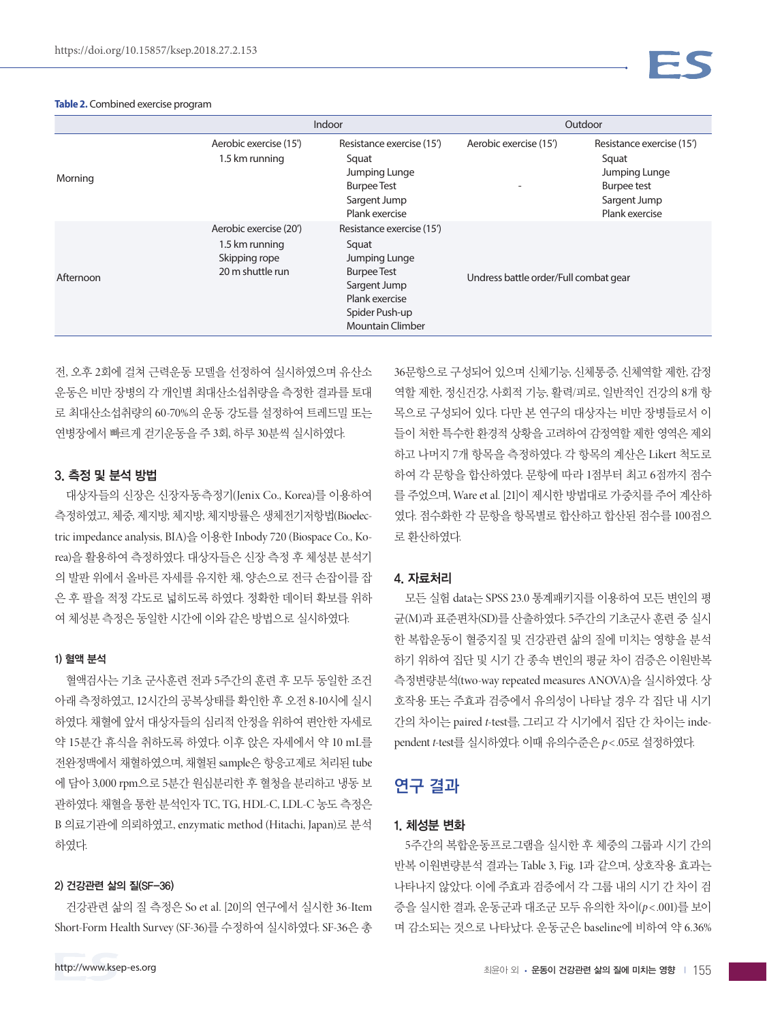#### **Table 2.** Combined exercise program



|           | Indoor                                                                        |                                                                                                                                                          | Outdoor                               |                                                                                                             |  |
|-----------|-------------------------------------------------------------------------------|----------------------------------------------------------------------------------------------------------------------------------------------------------|---------------------------------------|-------------------------------------------------------------------------------------------------------------|--|
| Morning   | Aerobic exercise (15')<br>1.5 km running                                      | Resistance exercise (15')<br>Squat<br>Jumping Lunge<br><b>Burpee Test</b><br>Sargent Jump<br>Plank exercise                                              | Aerobic exercise (15')                | Resistance exercise (15')<br>Squat<br>Jumping Lunge<br><b>Burpee test</b><br>Sargent Jump<br>Plank exercise |  |
| Afternoon | Aerobic exercise (20')<br>1.5 km running<br>Skipping rope<br>20 m shuttle run | Resistance exercise (15')<br>Squat<br>Jumping Lunge<br><b>Burpee Test</b><br>Sargent Jump<br>Plank exercise<br>Spider Push-up<br><b>Mountain Climber</b> | Undress battle order/Full combat gear |                                                                                                             |  |

전, 오후 2회에 걸쳐 근력운동 모델을 선정하여 실시하였으며 유산소 운동은 비만 장병의 각 개인별 최대산소섭취량을 측정한 결과를 토대 로 최대산소섭취량의 60-70%의 운동 강도를 설정하여 트레드밀 또는 연병장에서 빠르게 걷기운동을 주 3회, 하루 30분씩 실시하였다.

#### 3. 측정 및 분석 방법

대상자들의 신장은 신장자동측정기(Jenix Co., Korea)를 이용하여 측정하였고, 체중, 제지방, 체지방, 체지방률은 생체전기저항법(Bioelectric impedance analysis, BIA)을 이용한 Inbody 720 (Biospace Co., Korea)을 활용하여 측정하였다. 대상자들은 신장 측정 후 체성분 분석기 의 발판 위에서 올바른 자세를 유지한 채, 양손으로 전극 손잡이를 잡 은 후 팔을 적정 각도로 넓히도록 하였다. 정확한 데이터 확보를 위하 여 체성분 측정은 동일한 시간에 이와 같은 방법으로 실시하였다.

#### 1) 혈액 분석

혈액검사는 기초 군사훈련 전과 5주간의 훈련 후 모두 동일한 조건 아래 측정하였고, 12시간의 공복상태를 확인한 후 오전 8-10시에 실시 하였다. 채혈에 앞서 대상자들의 심리적 안정을 위하여 편안한 자세로 약 15분간 휴식을 취하도록 하였다. 이후 앉은 자세에서 약 10 mL를 전완정맥에서 채혈하였으며, 채혈된 sample은 항응고제로 처리된 tube 에 담아 3,000 rpm으로 5분간 원심분리한 후 혈청을 분리하고 냉동 보 관하였다. 채혈을 통한 분석인자 TC, TG, HDL-C, LDL-C 농도 측정은 B 의료기관에 의뢰하였고, enzymatic method (Hitachi, Japan)로 분석 하였다.

#### 2) 건강관련 삶의 질(SF-36)

건강관련 삶의 질 측정은 So et al. [20]의 연구에서 실시한 36-Item Short-Form Health Survey (SF-36)를 수정하여 실시하였다. SF-36은 총 36문항으로 구성되어 있으며 신체기능, 신체통증, 신체역할 제한, 감정 역할 제한, 정신건강, 사회적 기능, 활력/피로, 일반적인 건강의 8개 항 목으로 구성되어 있다. 다만 본 연구의 대상자는 비만 장병들로서 이 들이 처한 특수한 환경적 상황을 고려하여 감정역할 제한 영역은 제외 하고 나머지 7개 항목을 측정하였다. 각 항목의 계산은 Likert 척도로 하여 각 문항을 합산하였다. 문항에 따라 1점부터 최고 6점까지 점수 를 주었으며, Ware et al. [21]이 제시한 방법대로 가중치를 주어 계산하 였다. 점수화한 각 문항을 항목별로 합산하고 합산된 점수를 100점으 로 환산하였다.

#### 4. 자료처리

모든 실험 data는 SPSS 23.0 통계패키지를 이용하여 모든 변인의 평 균(M)과 표준편차(SD)를 산출하였다. 5주간의 기초군사 훈련 중 실시 한 복합운동이 혈중지질 및 건강관련 삶의 질에 미치는 영향을 분석 하기 위하여 집단 및 시기 간 종속 변인의 평균 차이 검증은 이원반복 측정변량분석(two-way repeated measures ANOVA)을 실시하였다. 상 호작용 또는 주효과 검증에서 유의성이 나타날 경우 각 집단 내 시기 간의 차이는 paired *t*-test를, 그리고 각 시기에서 집단 간 차이는 independent *t*-test를 실시하였다. 이때 유의수준은 *p*< .05로 설정하였다.

### 연구 결과

#### 1. 체성분 변화

5주간의 복합운동프로그램을 실시한 후 체중의 그룹과 시기 간의 반복 이원변량분석 결과는 Table 3, Fig. 1과 같으며, 상호작용 효과는 나타나지 않았다. 이에 주효과 검증에서 각 그룹 내의 시기 간 차이 검 증을 실시한 결과, 운동군과 대조군 모두 유의한 차이(*p*< .001)를 보이 며 감소되는 것으로 나타났다. 운동군은 baseline에 비하여 약 6.36%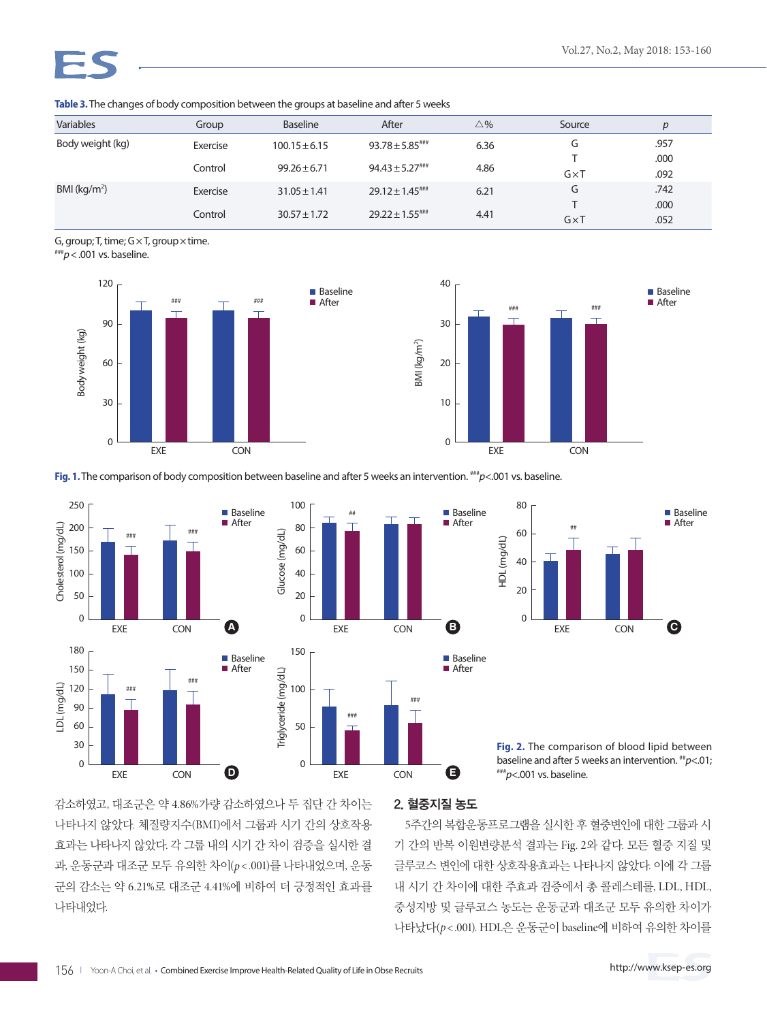| <b>Variables</b> | Group    | Baseline          | After                            | $\triangle \%$ | Source       | $\boldsymbol{D}$ |
|------------------|----------|-------------------|----------------------------------|----------------|--------------|------------------|
| Body weight (kg) | Exercise | $100.15 \pm 6.15$ | $93.78 \pm 5.85$ ***             | 6.36           | G            | .957             |
|                  | Control  | $99.26 \pm 6.71$  | $94.43 \pm 5.27$                 | 4.86           | $G \times T$ | .000<br>.092     |
| BMI ( $kg/m2$ )  | Exercise | $31.05 \pm 1.41$  | $29.12 \pm 1.45$ <sup>****</sup> | 6.21           | G            | .742             |
|                  | Control  | $30.57 \pm 1.72$  | $29.22 \pm 1.55$ ###             | 4.41           | $G \times T$ | .000<br>.052     |

**Table 3.** The changes of body composition between the groups at baseline and after 5 weeks

G, group; T, time;  $G \times T$ , group  $\times$  time.

###*p*<.001 vs. baseline.





**Fig. 1.** The comparison of body composition between baseline and after 5 weeks an intervention.  $^{***}p<.001$  vs. baseline.





**Fig. 2.** The comparison of blood lipid between baseline and after 5 weeks an intervention. ##*<sup>p</sup>*<.01; ###*<sup>p</sup>*<.001 vs. baseline.

감소하였고, 대조군은 약 4.86%가량 감소하였으나 두 집단 간 차이는 나타나지 않았다. 체질량지수(BMI)에서 그룹과 시기 간의 상호작용 효과는 나타나지 않았다. 각 그룹 내의 시기 간 차이 검증을 실시한 결 과, 운동군과 대조군 모두 유의한 차이(p < .001)를 나타내었으며, 운동 군의 감소는 약 6.21%로 대조군 4.41%에 비하여 더 긍정적인 효과를 나타내었다.

### 2. 혈중지질 농도

5주간의 복합운동프로그램을 실시한 후 혈중변인에 대한 그룹과 시 기 간의 반복 이원변량분석 결과는 Fig. 2와 같다. 모든 혈중 지질 및 글루코스 변인에 대한 상호작용효과는 나타나지 않았다. 이에 각 그룹 내 시기 간 차이에 대한 주효과 검증에서 총 콜레스테롤, LDL, HDL, 중성지방 및 글루코스 농도는 운동군과 대조군 모두 유의한 차이가 나타났다(*p*< .001). HDL은 운동군이 baseline에 비하여 유의한 차이를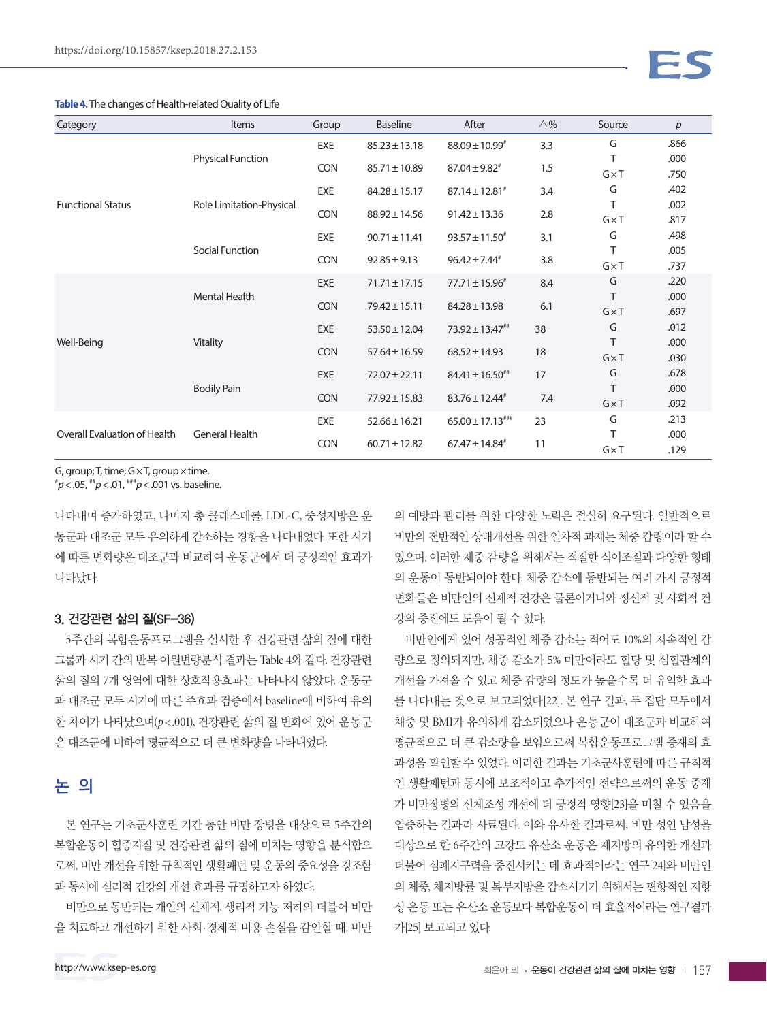| Category                            | Items                    | Group      | <b>Baseline</b>   | After                         | $\triangle$ % | Source            | p            |
|-------------------------------------|--------------------------|------------|-------------------|-------------------------------|---------------|-------------------|--------------|
| <b>Functional Status</b>            | <b>Physical Function</b> | EXE        | $85.23 \pm 13.18$ | $88.09 \pm 10.99^*$           | 3.3           | G                 | .866         |
|                                     |                          |            |                   |                               |               | Τ                 | .000         |
|                                     |                          | <b>CON</b> | $85.71 \pm 10.89$ | $87.04 \pm 9.82$ <sup>#</sup> | 1.5           | $G \times T$      | .750         |
|                                     | Role Limitation-Physical | EXE        | $84.28 \pm 15.17$ | $87.14 \pm 12.81^*$           | 3.4           | G                 | .402         |
|                                     |                          | <b>CON</b> | $88.92 \pm 14.56$ | $91.42 \pm 13.36$             | 2.8           | T                 | .002         |
|                                     |                          |            |                   |                               |               | $G \times T$      | .817         |
|                                     | Social Function          | EXE        | $90.71 \pm 11.41$ | $93.57 \pm 11.50^*$           | 3.1           | G                 | .498         |
|                                     |                          | <b>CON</b> | $92.85 \pm 9.13$  | $96.42 \pm 7.44^*$            | 3.8           | T                 | .005         |
|                                     |                          |            |                   |                               |               | $G \times T$<br>G | .737<br>.220 |
| Well-Being                          | Mental Health            | EXE        | $71.71 \pm 17.15$ | $77.71 \pm 15.96^*$           | 8.4           | T                 | .000         |
|                                     |                          | <b>CON</b> | $79.42 \pm 15.11$ | $84.28 \pm 13.98$             | 6.1           | $G \times T$      | .697         |
|                                     | Vitality                 | EXE        | $53.50 \pm 12.04$ | $73.92 \pm 13.47^{**}$        | 38            | G                 | .012         |
|                                     |                          |            |                   |                               | 18            | T                 | .000         |
|                                     |                          | <b>CON</b> | $57.64 \pm 16.59$ | $68.52 \pm 14.93$             |               | $G \times T$      | .030         |
|                                     | <b>Bodily Pain</b>       | EXE        | $72.07 \pm 22.11$ | $84.41 \pm 16.50^{**}$        | 17            | G                 | .678         |
|                                     |                          | <b>CON</b> |                   | $83.76 \pm 12.44^*$           | 7.4           | Т                 | .000         |
|                                     |                          |            | $77.92 \pm 15.83$ |                               |               | $G \times T$      | .092         |
| <b>Overall Evaluation of Health</b> | <b>General Health</b>    | EXE        | $52.66 \pm 16.21$ | $65.00 \pm 17.13***$          | 23            | G                 | .213         |
|                                     |                          | <b>CON</b> | $60.71 \pm 12.82$ | $67.47 \pm 14.84^*$           | 11            | Τ                 | .000         |
|                                     |                          |            |                   |                               |               | $G \times T$      | .129         |

**Table 4.** The changes of Health-related Quality of Life

G, group; T, time;  $G \times T$ , group  $\times$  time.

# *p*<.05, ##*p*<.01, ###*p*<.001 vs. baseline.

나타내며 증가하였고, 나머지 총 콜레스테롤, LDL-C, 중성지방은 운 동군과 대조군 모두 유의하게 감소하는 경향을 나타내었다. 또한 시기 에 따른 변화량은 대조군과 비교하여 운동군에서 더 긍정적인 효과가 나타났다.

#### 3. 건강관련 삶의 질(SF-36)

5주간의 복합운동프로그램을 실시한 후 건강관련 삶의 질에 대한 그룹과 시기 간의 반복 이원변량분석 결과는 Table 4와 같다. 건강관련 삶의 질의 7개 영역에 대한 상호작용효과는 나타나지 않았다. 운동군 과 대조군 모두 시기에 따른 주효과 검증에서 baseline에 비하여 유의 한 차이가 나타났으며( $p < 0.001$ ), 건강관련 삶의 질 변화에 있어 운동군 은 대조군에 비하여 평균적으로 더 큰 변화량을 나타내었다.

## 논 의

본 연구는 기초군사훈련 기간 동안 비만 장병을 대상으로 5주간의 복합운동이 혈중지질 및 건강관련 삶의 질에 미치는 영향을 분석함으 로써, 비만 개선을 위한 규칙적인 생활패턴 및 운동의 중요성을 강조함 과 동시에 심리적 건강의 개선 효과를 규명하고자 하였다.

비만으로 동반되는 개인의 신체적, 생리적 기능 저하와 더불어 비만 을 치료하고 개선하기 위한 사회·경제적 비용 손실을 감안할 때, 비만

의 예방과 관리를 위한 다양한 노력은 절실히 요구된다. 일반적으로 비만의 전반적인 상태개선을 위한 일차적 과제는 체중 감량이라 할 수 있으며, 이러한 체중 감량을 위해서는 적절한 식이조절과 다양한 형태 의 운동이 동반되어야 한다. 체중 감소에 동반되는 여러 가지 긍정적 변화들은 비만인의 신체적 건강은 물론이거니와 정신적 및 사회적 건 강의 증진에도 도움이 될 수 있다.

비만인에게 있어 성공적인 체중 감소는 적어도 10%의 지속적인 감 량으로 정의되지만, 체중 감소가 5% 미만이라도 혈당 및 심혈관계의 개선을 가져올 수 있고 체중 감량의 정도가 높을수록 더 유익한 효과 를 나타내는 것으로 보고되었다[22]. 본 연구 결과, 두 집단 모두에서 체중 및 BMI가 유의하게 감소되었으나 운동군이 대조군과 비교하여 평균적으로 더 큰 감소량을 보임으로써 복합운동프로그램 중재의 효 과성을 확인할 수 있었다. 이러한 결과는 기초군사훈련에 따른 규칙적 인 생활패턴과 동시에 보조적이고 추가적인 전략으로써의 운동 중재 가 비만장병의 신체조성 개선에 더 긍정적 영향[23]을 미칠 수 있음을 입증하는 결과라 사료된다. 이와 유사한 결과로써, 비만 성인 남성을 대상으로 한 6주간의 고강도 유산소 운동은 체지방의 유의한 개선과 더불어 심폐지구력을 증진시키는 데 효과적이라는 연구[24]와 비만인 의 체중, 체지방률 및 복부지방을 감소시키기 위해서는 편향적인 저항 성 운동 또는 유산소 운동보다 복합운동이 더 효율적이라는 연구결과 가[25] 보고되고 있다.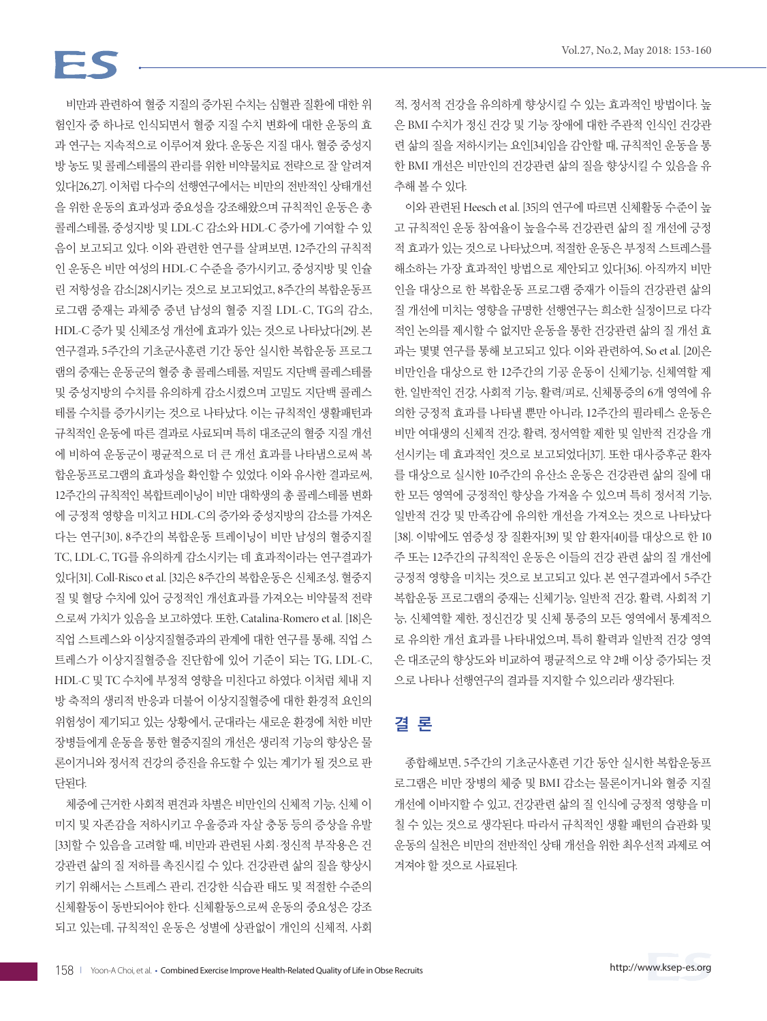# FS

비만과 관련하여 혈중 지질의 증가된 수치는 심혈관 질환에 대한 위 험인자 중 하나로 인식되면서 혈중 지질 수치 변화에 대한 운동의 효 과 연구는 지속적으로 이루어져 왔다. 운동은 지질 대사, 혈중 중성지 방 농도 및 콜레스테롤의 관리를 위한 비약물치료 전략으로 잘 알려져 있다[26,27]. 이처럼 다수의 선행연구에서는 비만의 전반적인 상태개선 을 위한 운동의 효과성과 중요성을 강조해왔으며 규칙적인 운동은 총 콜레스테롤, 중성지방 및 LDL-C 감소와 HDL-C 증가에 기여할 수 있 음이 보고되고 있다. 이와 관련한 연구를 살펴보면, 12주간의 규칙적 인 운동은 비만 여성의 HDL-C 수준을 증가시키고, 중성지방 및 인슐 린 저항성을 감소[28]시키는 것으로 보고되었고, 8주간의 복합운동프 로그램 중재는 과체중 중년 남성의 혈중 지질 LDL-C, TG의 감소, HDL-C 증가 및 신체조성 개선에 효과가 있는 것으로 나타났다[29]. 본 연구결과, 5주간의 기초군사훈련 기간 동안 실시한 복합운동 프로그 램의 중재는 운동군의 혈중 총 콜레스테롤, 저밀도 지단백 콜레스테롤 및 중성지방의 수치를 유의하게 감소시켰으며 고밀도 지단백 콜레스 테롤 수치를 증가시키는 것으로 나타났다. 이는 규칙적인 생활패턴과 규칙적인 운동에 따른 결과로 사료되며 특히 대조군의 혈중 지질 개선 에 비하여 운동군이 평균적으로 더 큰 개선 효과를 나타냄으로써 복 합운동프로그램의 효과성을 확인할 수 있었다. 이와 유사한 결과로써, 12주간의 규칙적인 복합트레이닝이 비만 대학생의 총 콜레스테롤 변화 에 긍정적 영향을 미치고 HDL-C의 증가와 중성지방의 감소를 가져온 다는 연구[30], 8주간의 복합운동 트레이닝이 비만 남성의 혈중지질 TC, LDL-C, TG를 유의하게 감소시키는 데 효과적이라는 연구결과가 있다[31]. Coll-Risco et al. [32]은 8주간의 복합운동은 신체조성, 혈중지 질 및 혈당 수치에 있어 긍정적인 개선효과를 가져오는 비약물적 전략 으로써 가치가 있음을 보고하였다. 또한, Catalina-Romero et al. [18]은 직업 스트레스와 이상지질혈증과의 관계에 대한 연구를 통해, 직업 스 트레스가 이상지질혈증을 진단함에 있어 기준이 되는 TG, LDL-C, HDL-C 및 TC 수치에 부정적 영향을 미친다고 하였다. 이처럼 체내 지 방 축적의 생리적 반응과 더불어 이상지질혈증에 대한 환경적 요인의 위험성이 제기되고 있는 상황에서, 군대라는 새로운 환경에 처한 비만 장병들에게 운동을 통한 혈중지질의 개선은 생리적 기능의 향상은 물 론이거니와 정서적 건강의 증진을 유도할 수 있는 계기가 될 것으로 판 단된다.

체중에 근거한 사회적 편견과 차별은 비만인의 신체적 기능, 신체 이 미지 및 자존감을 저하시키고 우울증과 자살 충동 등의 증상을 유발 [33]할 수 있음을 고려할 때, 비만과 관련된 사회·정신적 부작용은 건 강관련 삶의 질 저하를 촉진시킬 수 있다. 건강관련 삶의 질을 향상시 키기 위해서는 스트레스 관리, 건강한 식습관 태도 및 적절한 수준의 신체활동이 동반되어야 한다. 신체활동으로써 운동의 중요성은 강조 되고 있는데, 규칙적인 운동은 성별에 상관없이 개인의 신체적, 사회

적, 정서적 건강을 유의하게 향상시킬 수 있는 효과적인 방법이다. 높 은 BMI 수치가 정신 건강 및 기능 장애에 대한 주관적 인식인 건강관 련 삶의 질을 저하시키는 요인[34]임을 감안할 때, 규칙적인 운동을 통 한 BMI 개선은 비만인의 건강관련 삶의 질을 향상시킬 수 있음을 유 추해 볼 수 있다.

이와 관련된 Heesch et al. [35]의 연구에 따르면 신체활동 수준이 높 고 규칙적인 운동 참여율이 높을수록 건강관련 삶의 질 개선에 긍정 적 효과가 있는 것으로 나타났으며, 적절한 운동은 부정적 스트레스를 해소하는 가장 효과적인 방법으로 제안되고 있다[36]. 아직까지 비만 인을 대상으로 한 복합운동 프로그램 중재가 이들의 건강관련 삶의 질 개선에 미치는 영향을 규명한 선행연구는 희소한 실정이므로 다각 적인 논의를 제시할 수 없지만 운동을 통한 건강관련 삶의 질 개선 효 과는 몇몇 연구를 통해 보고되고 있다. 이와 관련하여, So et al. [20]은 비만인을 대상으로 한 12주간의 기공 운동이 신체기능, 신체역할 제 한, 일반적인 건강, 사회적 기능, 활력/피로, 신체통증의 6개 영역에 유 의한 긍정적 효과를 나타낼 뿐만 아니라, 12주간의 필라테스 운동은 비만 여대생의 신체적 건강, 활력, 정서역할 제한 및 일반적 건강을 개 선시키는 데 효과적인 것으로 보고되었다[37]. 또한 대사증후군 환자 를 대상으로 실시한 10주간의 유산소 운동은 건강관련 삶의 질에 대 한 모든 영역에 긍정적인 향상을 가져올 수 있으며 특히 정서적 기능, 일반적 건강 및 만족감에 유의한 개선을 가져오는 것으로 나타났다 [38]. 이밖에도 염증성 장 질환자[39] 및 암 환자[40]를 대상으로 한 10 주 또는 12주간의 규칙적인 운동은 이들의 건강 관련 삶의 질 개선에 긍정적 영향을 미치는 것으로 보고되고 있다. 본 연구결과에서 5주간 복합운동 프로그램의 중재는 신체기능, 일반적 건강, 활력, 사회적 기 능, 신체역할 제한, 정신건강 및 신체 통증의 모든 영역에서 통계적으 로 유의한 개선 효과를 나타내었으며, 특히 활력과 일반적 건강 영역 은 대조군의 향상도와 비교하여 평균적으로 약 2배 이상 증가되는 것 으로 나타나 선행연구의 결과를 지지할 수 있으리라 생각된다.

# 결 론

종합해보면, 5주간의 기초군사훈련 기간 동안 실시한 복합운동프 로그램은 비만 장병의 체중 및 BMI 감소는 물론이거니와 혈중 지질 개선에 이바지할 수 있고, 건강관련 삶의 질 인식에 긍정적 영향을 미 칠 수 있는 것으로 생각된다. 따라서 규칙적인 생활 패턴의 습관화 및 운동의 실천은 비만의 전반적인 상태 개선을 위한 최우선적 과제로 여 겨져야 할 것으로 사료된다.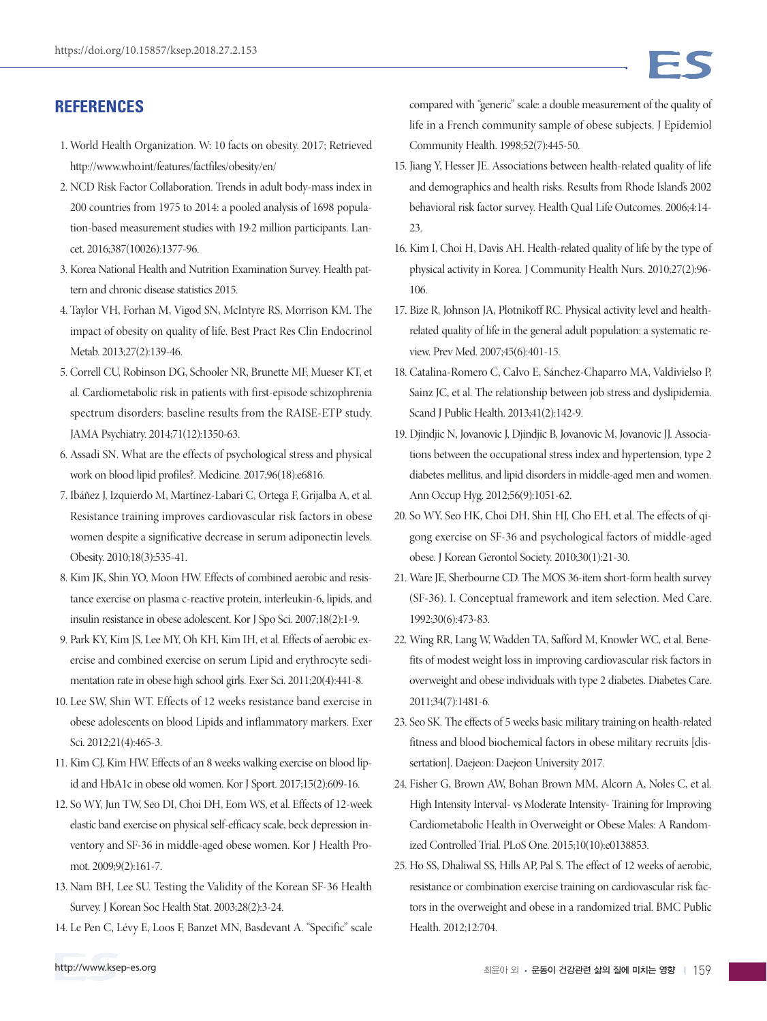## **REFERENCES**

- 1. World Health Organization. W: 10 facts on obesity. 2017; Retrieved http://www.who.int/features/factfiles/obesity/en/
- 2. NCD Risk Factor Collaboration. Trends in adult body-mass index in 200 countries from 1975 to 2014: a pooled analysis of 1698 population-based measurement studies with 19·2 million participants. Lancet. 2016;387(10026):1377-96.
- 3. Korea National Health and Nutrition Examination Survey. Health pattern and chronic disease statistics 2015.
- 4. Taylor VH, Forhan M, Vigod SN, McIntyre RS, Morrison KM. The impact of obesity on quality of life. Best Pract Res Clin Endocrinol Metab. 2013;27(2):139-46.
- 5. Correll CU, Robinson DG, Schooler NR, Brunette MF, Mueser KT, et al. Cardiometabolic risk in patients with first-episode schizophrenia spectrum disorders: baseline results from the RAISE-ETP study. JAMA Psychiatry. 2014;71(12):1350-63.
- 6. Assadi SN. What are the effects of psychological stress and physical work on blood lipid profiles?. Medicine. 2017;96(18):e6816.
- 7. Ibáñez J, Izquierdo M, Martínez-Labari C, Ortega F, Grijalba A, et al. Resistance training improves cardiovascular risk factors in obese women despite a significative decrease in serum adiponectin levels. Obesity. 2010;18(3):535-41.
- 8. Kim JK, Shin YO, Moon HW. Effects of combined aerobic and resistance exercise on plasma c-reactive protein, interleukin-6, lipids, and insulin resistance in obese adolescent. Kor J Spo Sci. 2007;18(2):1-9.
- 9. Park KY, Kim JS, Lee MY, Oh KH, Kim IH, et al. Effects of aerobic exercise and combined exercise on serum Lipid and erythrocyte sedimentation rate in obese high school girls. Exer Sci. 2011;20(4):441-8.
- 10. Lee SW, Shin WT. Effects of 12 weeks resistance band exercise in obese adolescents on blood Lipids and inflammatory markers. Exer Sci. 2012;21(4):465-3.
- 11. Kim CJ, Kim HW. Effects of an 8 weeks walking exercise on blood lipid and HbA1c in obese old women. Kor J Sport. 2017;15(2):609-16.
- 12. So WY, Jun TW, Seo DI, Choi DH, Eom WS, et al. Effects of 12-week elastic band exercise on physical self-efficacy scale, beck depression inventory and SF-36 in middle-aged obese women. Kor J Health Promot. 2009;9(2):161-7.
- 13. Nam BH, Lee SU. Testing the Validity of the Korean SF-36 Health Survey. J Korean Soc Health Stat. 2003;28(2):3-24.
- 14. Le Pen C, Lévy E, Loos F, Banzet MN, Basdevant A. "Specific" scale
- 15. Jiang Y, Hesser JE. Associations between health-related quality of life and demographics and health risks. Results from Rhode Island's 2002 behavioral risk factor survey. Health Qual Life Outcomes. 2006;4:14- 23.
- 16. Kim I, Choi H, Davis AH. Health-related quality of life by the type of physical activity in Korea. J Community Health Nurs. 2010;27(2):96- 106.
- 17. Bize R, Johnson JA, Plotnikoff RC. Physical activity level and healthrelated quality of life in the general adult population: a systematic review. Prev Med. 2007;45(6):401-15.
- 18. Catalina-Romero C, Calvo E, Sánchez-Chaparro MA, Valdivielso P, Sainz JC, et al. The relationship between job stress and dyslipidemia. Scand J Public Health. 2013;41(2):142-9.
- 19. Djindjic N, Jovanovic J, Djindjic B, Jovanovic M, Jovanovic JJ. Associations between the occupational stress index and hypertension, type 2 diabetes mellitus, and lipid disorders in middle-aged men and women. Ann Occup Hyg. 2012;56(9):1051-62.
- 20. So WY, Seo HK, Choi DH, Shin HJ, Cho EH, et al. The effects of qigong exercise on SF-36 and psychological factors of middle-aged obese. J Korean Gerontol Society. 2010;30(1):21-30.
- 21. Ware JE, Sherbourne CD. The MOS 36-item short-form health survey (SF-36). I. Conceptual framework and item selection. Med Care. 1992;30(6):473-83.
- 22. Wing RR, Lang W, Wadden TA, Safford M, Knowler WC, et al. Benefits of modest weight loss in improving cardiovascular risk factors in overweight and obese individuals with type 2 diabetes. Diabetes Care. 2011;34(7):1481-6.
- 23. Seo SK. The effects of 5 weeks basic military training on health-related fitness and blood biochemical factors in obese military recruits [dissertation]. Daejeon: Daejeon University 2017.
- 24. Fisher G, Brown AW, Bohan Brown MM, Alcorn A, Noles C, et al. High Intensity Interval- vs Moderate Intensity- Training for Improving Cardiometabolic Health in Overweight or Obese Males: A Randomized Controlled Trial. PLoS One. 2015;10(10):e0138853.
- 25. Ho SS, Dhaliwal SS, Hills AP, Pal S. The effect of 12 weeks of aerobic, resistance or combination exercise training on cardiovascular risk factors in the overweight and obese in a randomized trial. BMC Public Health. 2012;12:704.